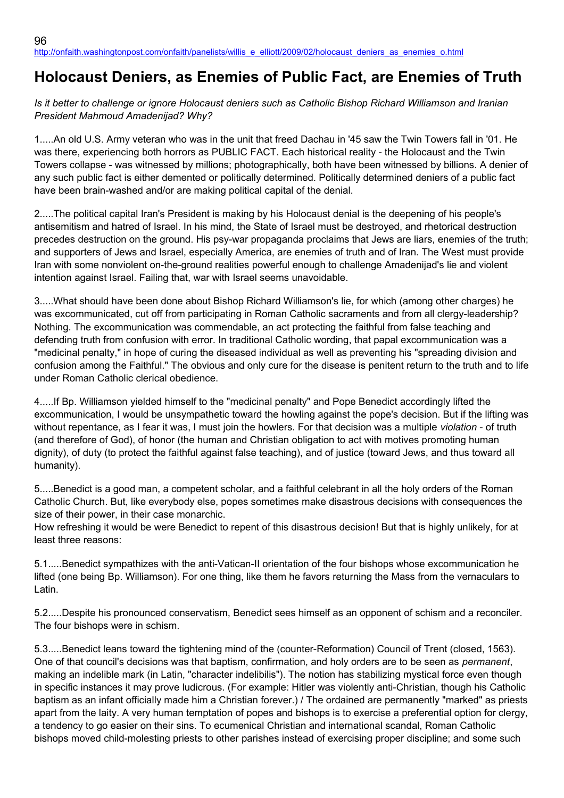## **Holocaust Deniers, as Enemies of Public Fact, are Enemies of Truth**

*Is it better to challenge or ignore Holocaust deniers such as Catholic Bishop Richard Williamson and Iranian President Mahmoud Amadenijad? Why?*

1.....An old U.S. Army veteran who was in the unit that freed Dachau in '45 saw the Twin Towers fall in '01. He was there, experiencing both horrors as PUBLIC FACT. Each historical reality - the Holocaust and the Twin Towers collapse - was witnessed by millions; photographically, both have been witnessed by billions. A denier of any such public fact is either demented or politically determined. Politically determined deniers of a public fact have been brain-washed and/or are making political capital of the denial.

2.....The political capital Iran's President is making by his Holocaust denial is the deepening of his people's antisemitism and hatred of Israel. In his mind, the State of Israel must be destroyed, and rhetorical destruction precedes destruction on the ground. His psy-war propaganda proclaims that Jews are liars, enemies of the truth; and supporters of Jews and Israel, especially America, are enemies of truth and of Iran. The West must provide Iran with some nonviolent on-the-ground realities powerful enough to challenge Amadenijad's lie and violent intention against Israel. Failing that, war with Israel seems unavoidable.

3.....What should have been done about Bishop Richard Williamson's lie, for which (among other charges) he was excommunicated, cut off from participating in Roman Catholic sacraments and from all clergy-leadership? Nothing. The excommunication was commendable, an act protecting the faithful from false teaching and defending truth from confusion with error. In traditional Catholic wording, that papal excommunication was a "medicinal penalty," in hope of curing the diseased individual as well as preventing his "spreading division and confusion among the Faithful." The obvious and only cure for the disease is penitent return to the truth and to life under Roman Catholic clerical obedience.

4.....If Bp. Williamson yielded himself to the "medicinal penalty" and Pope Benedict accordingly lifted the excommunication, I would be unsympathetic toward the howling against the pope's decision. But if the lifting was without repentance, as I fear it was, I must join the howlers. For that decision was a multiple *violation* - of truth (and therefore of God), of honor (the human and Christian obligation to act with motives promoting human dignity), of duty (to protect the faithful against false teaching), and of justice (toward Jews, and thus toward all humanity).

5.....Benedict is a good man, a competent scholar, and a faithful celebrant in all the holy orders of the Roman Catholic Church. But, like everybody else, popes sometimes make disastrous decisions with consequences the size of their power, in their case monarchic.

How refreshing it would be were Benedict to repent of this disastrous decision! But that is highly unlikely, for at least three reasons:

5.1.....Benedict sympathizes with the anti-Vatican-II orientation of the four bishops whose excommunication he lifted (one being Bp. Williamson). For one thing, like them he favors returning the Mass from the vernaculars to Latin.

5.2.....Despite his pronounced conservatism, Benedict sees himself as an opponent of schism and a reconciler. The four bishops were in schism.

5.3.....Benedict leans toward the tightening mind of the (counter-Reformation) Council of Trent (closed, 1563). One of that council's decisions was that baptism, confirmation, and holy orders are to be seen as *permanent*, making an indelible mark (in Latin, "character indelibilis"). The notion has stabilizing mystical force even though in specific instances it may prove ludicrous. (For example: Hitler was violently anti-Christian, though his Catholic baptism as an infant officially made him a Christian forever.) / The ordained are permanently "marked" as priests apart from the laity. A very human temptation of popes and bishops is to exercise a preferential option for clergy, a tendency to go easier on their sins. To ecumenical Christian and international scandal, Roman Catholic bishops moved child-molesting priests to other parishes instead of exercising proper discipline; and some such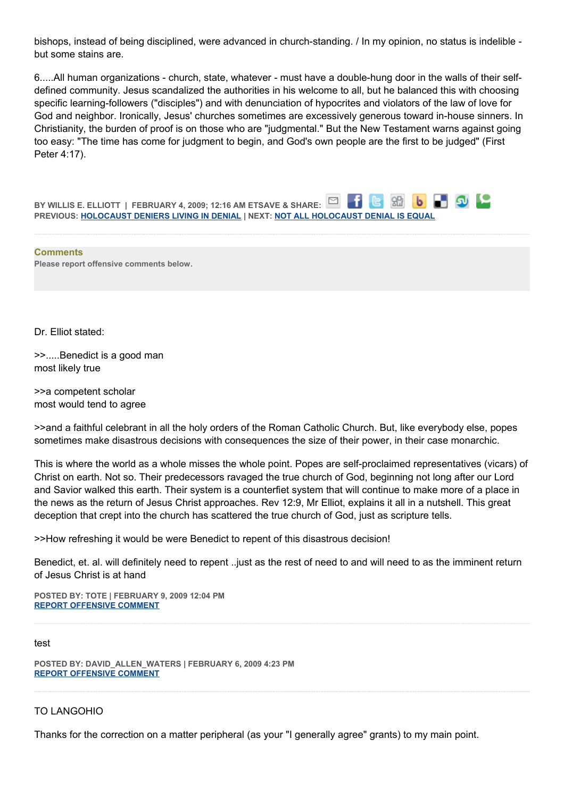bishops, instead of being disciplined, were advanced in church-standing. / In my opinion, no status is indelible but some stains are.

6.....All human organizations - church, state, whatever - must have a double-hung door in the walls of their selfdefined community. Jesus scandalized the authorities in his welcome to all, but he balanced this with choosing specific learning-followers ("disciples") and with denunciation of hypocrites and violators of the law of love for God and neighbor. Ironically, Jesus' churches sometimes are excessively generous toward in-house sinners. In Christianity, the burden of proof is on those who are "judgmental." But the New Testament warns against going too easy: "The time has come for judgment to begin, and God's own people are the first to be judged" (First Peter 4:17).

**b** 9 2 **BY WILLIS E. ELLIOTT | FEBRUARY 4, 2009; 12:16 AM ETSAVE & SHARE:** 86 **PREVIOUS: [HOLOCAUST DENIERS LIVING IN DENIAL](http://onfaith.washingtonpost.com/onfaith/panelists/arun_gandhi/2009/02/living_in_denial.html) | NEXT: [NOT ALL HOLOCAUST DENIAL IS EQUAL](http://onfaith.washingtonpost.com/onfaith/panelists/brad_hirschfield/2009/02/not_all_holocaust_denial_is_eq.html)**

**Comments Please report offensive comments below.**

Dr. Elliot stated:

>>.....Benedict is a good man most likely true

>>a competent scholar most would tend to agree

>>and a faithful celebrant in all the holy orders of the Roman Catholic Church. But, like everybody else, popes sometimes make disastrous decisions with consequences the size of their power, in their case monarchic.

This is where the world as a whole misses the whole point. Popes are self-proclaimed representatives (vicars) of Christ on earth. Not so. Their predecessors ravaged the true church of God, beginning not long after our Lord and Savior walked this earth. Their system is a counterfiet system that will continue to make more of a place in the news as the return of Jesus Christ approaches. Rev 12:9, Mr Elliot, explains it all in a nutshell. This great deception that crept into the church has scattered the true church of God, just as scripture tells.

>>How refreshing it would be were Benedict to repent of this disastrous decision!

Benedict, et. al. will definitely need to repent ..just as the rest of need to and will need to as the imminent return of Jesus Christ is at hand

**POSTED BY: TOTE | FEBRUARY 9, 2009 12:04 PM [REPORT OFFENSIVE COMMENT](mailto:blogs@washingtonpost.com?subject=On%20Faith%20Panelists%20Blog%20%20%7C%20%20TOTE%20%20%7C%20%20Holocaust%20Deniers,%20as%20Enemies%20of%20Public%20Fact,%20are%20Enemies%20of%20Truth%20%20%7C%20%204598834&body=%0D%0D%0D%0D%0D================%0D?__mode=view%26_type=comment%26id=4598834%26blog_id=618)**

## test

**POSTED BY: DAVID\_ALLEN\_WATERS | FEBRUARY 6, 2009 4:23 PM [REPORT OFFENSIVE COMMENT](mailto:blogs@washingtonpost.com?subject=On%20Faith%20Panelists%20Blog%20%20%7C%20%20David_Allen_Waters%20%20%7C%20%20Holocaust%20Deniers,%20as%20Enemies%20of%20Public%20Fact,%20are%20Enemies%20of%20Truth%20%20%7C%20%204591620&body=%0D%0D%0D%0D%0D================%0D?__mode=view%26_type=comment%26id=4591620%26blog_id=618)**

## TO LANGOHIO

Thanks for the correction on a matter peripheral (as your "I generally agree" grants) to my main point.